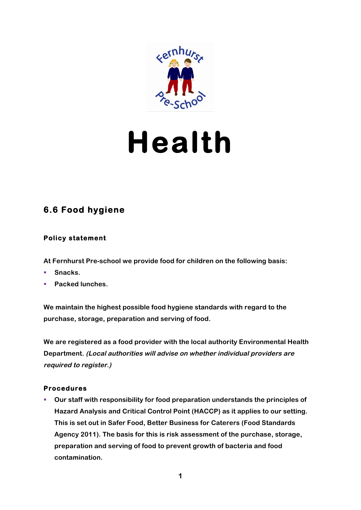

# **Health**

# **6.6 Food hygiene**

# **Policy statement**

**At Fernhurst Pre-school we provide food for children on the following basis:**

- § **Snacks.**
- § **Packed lunches.**

**We maintain the highest possible food hygiene standards with regard to the purchase, storage, preparation and serving of food.**

**We are registered as a food provider with the local authority Environmental Health Department. (Local authorities will advise on whether individual providers are required to register.)**

## **Procedures**

§ **Our staff with responsibility for food preparation understands the principles of Hazard Analysis and Critical Control Point (HACCP) as it applies to our setting. This is set out in Safer Food, Better Business for Caterers (Food Standards Agency 2011). The basis for this is risk assessment of the purchase, storage, preparation and serving of food to prevent growth of bacteria and food contamination.**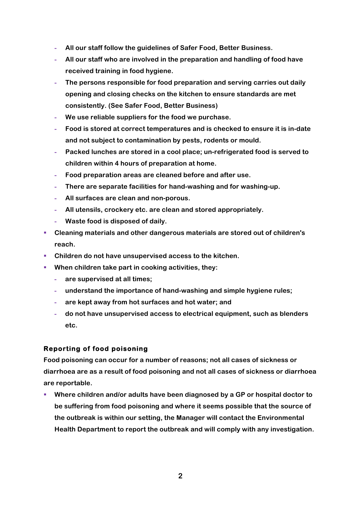- **- All our staff follow the guidelines of Safer Food, Better Business.**
- **- All our staff who are involved in the preparation and handling of food have received training in food hygiene.**
- **- The persons responsible for food preparation and serving carries out daily opening and closing checks on the kitchen to ensure standards are met consistently. (See Safer Food, Better Business)**
- **- We use reliable suppliers for the food we purchase.**
- **- Food is stored at correct temperatures and is checked to ensure it is in-date and not subject to contamination by pests, rodents or mould.**
- **- Packed lunches are stored in a cool place; un-refrigerated food is served to children within 4 hours of preparation at home.**
- **- Food preparation areas are cleaned before and after use.**
- **- There are separate facilities for hand-washing and for washing-up.**
- **- All surfaces are clean and non-porous.**
- **- All utensils, crockery etc. are clean and stored appropriately.**
- **- Waste food is disposed of daily.**
- § **Cleaning materials and other dangerous materials are stored out of children's reach.**
- § **Children do not have unsupervised access to the kitchen.**
- When children take part in cooking activities, they:
	- **- are supervised at all times;**
	- **- understand the importance of hand-washing and simple hygiene rules;**
	- **- are kept away from hot surfaces and hot water; and**
	- **- do not have unsupervised access to electrical equipment, such as blenders etc.**

### **Reporting of food poisoning**

**Food poisoning can occur for a number of reasons; not all cases of sickness or diarrhoea are as a result of food poisoning and not all cases of sickness or diarrhoea are reportable.**

§ **Where children and/or adults have been diagnosed by a GP or hospital doctor to be suffering from food poisoning and where it seems possible that the source of the outbreak is within our setting, the Manager will contact the Environmental Health Department to report the outbreak and will comply with any investigation.**